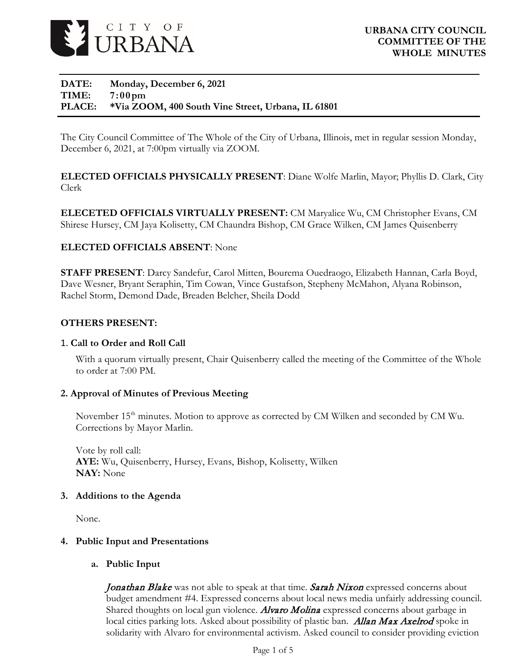

## **DATE: Monday, December 6, 2021 TIME: 7:00pm PLACE: \*Via ZOOM, 400 South Vine Street, Urbana, IL 61801**

The City Council Committee of The Whole of the City of Urbana, Illinois, met in regular session Monday, December 6, 2021, at 7:00pm virtually via ZOOM.

**ELECTED OFFICIALS PHYSICALLY PRESENT**: Diane Wolfe Marlin, Mayor; Phyllis D. Clark, City Clerk

**ELECETED OFFICIALS VIRTUALLY PRESENT:** CM Maryalice Wu, CM Christopher Evans, CM Shirese Hursey, CM Jaya Kolisetty, CM Chaundra Bishop, CM Grace Wilken, CM James Quisenberry

# **ELECTED OFFICIALS ABSENT**: None

**STAFF PRESENT**: Darcy Sandefur, Carol Mitten, Bourema Ouedraogo, Elizabeth Hannan, Carla Boyd, Dave Wesner, Bryant Seraphin, Tim Cowan, Vince Gustafson, Stepheny McMahon, Alyana Robinson, Rachel Storm, Demond Dade, Breaden Belcher, Sheila Dodd

## **OTHERS PRESENT:**

## 1. **Call to Order and Roll Call**

With a quorum virtually present, Chair Quisenberry called the meeting of the Committee of the Whole to order at 7:00 PM.

## **2. Approval of Minutes of Previous Meeting**

November 15<sup>th</sup> minutes. Motion to approve as corrected by CM Wilken and seconded by CM Wu. Corrections by Mayor Marlin.

Vote by roll call: **AYE:** Wu, Quisenberry, Hursey, Evans, Bishop, Kolisetty, Wilken **NAY:** None

## **3. Additions to the Agenda**

None.

## **4. Public Input and Presentations**

#### **a. Public Input**

Jonathan Blake was not able to speak at that time. Sarah Nixon expressed concerns about budget amendment #4. Expressed concerns about local news media unfairly addressing council. Shared thoughts on local gun violence. **Alvaro Molina** expressed concerns about garbage in local cities parking lots. Asked about possibility of plastic ban. **Allan Max Axelrod** spoke in solidarity with Alvaro for environmental activism. Asked council to consider providing eviction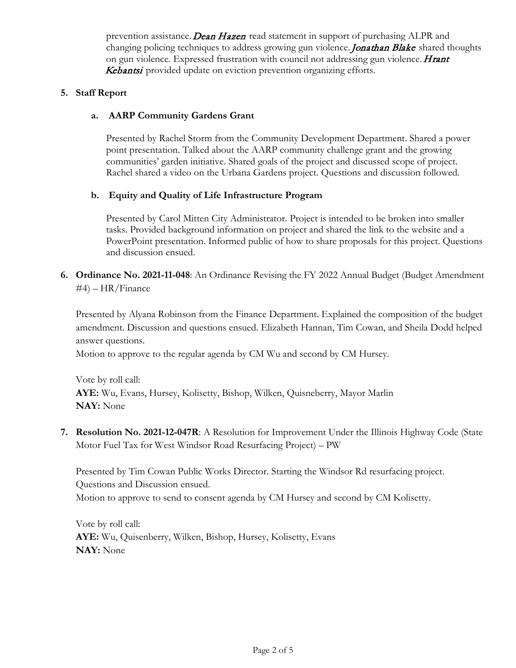prevention assistance. **Dean Hazen** read statement in support of purchasing ALPR and changing policing techniques to address growing gun violence. Jonathan Blake shared thoughts on gun violence. Expressed frustration with council not addressing gun violence. **Hrant** Kebantsi provided update on eviction prevention organizing efforts.

# **5. Staff Report**

# **a. AARP Community Gardens Grant**

Presented by Rachel Storm from the Community Development Department. Shared a power point presentation. Talked about the AARP community challenge grant and the growing communities' garden initiative. Shared goals of the project and discussed scope of project. Rachel shared a video on the Urbana Gardens project. Questions and discussion followed.

# **b. Equity and Quality of Life Infrastructure Program**

Presented by Carol Mitten City Administrator. Project is intended to be broken into smaller tasks. Provided background information on project and shared the link to the website and a PowerPoint presentation. Informed public of how to share proposals for this project. Questions and discussion ensued.

**6. Ordinance No. 2021-11-048**: An Ordinance Revising the FY 2022 Annual Budget (Budget Amendment #4) – HR/Finance

Presented by Alyana Robinson from the Finance Department. Explained the composition of the budget amendment. Discussion and questions ensued. Elizabeth Hannan, Tim Cowan, and Sheila Dodd helped answer questions.

Motion to approve to the regular agenda by CM Wu and second by CM Hursey.

Vote by roll call: **AYE:** Wu, Evans, Hursey, Kolisetty, Bishop, Wilken, Quisneberry, Mayor Marlin **NAY:** None

**7. Resolution No. 2021-12-047R**: A Resolution for Improvement Under the Illinois Highway Code (State Motor Fuel Tax for West Windsor Road Resurfacing Project) – PW

Presented by Tim Cowan Public Works Director. Starting the Windsor Rd resurfacing project. Questions and Discussion ensued. Motion to approve to send to consent agenda by CM Hursey and second by CM Kolisetty.

Vote by roll call: **AYE:** Wu, Quisenberry, Wilken, Bishop, Hursey, Kolisetty, Evans **NAY:** None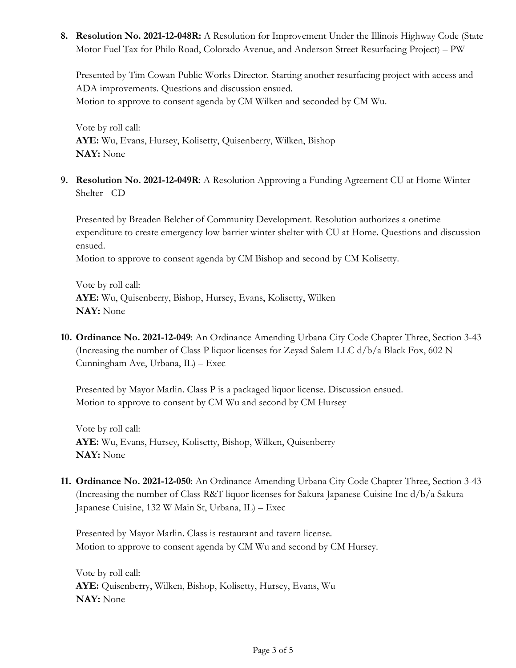**8. Resolution No. 2021-12-048R:** A Resolution for Improvement Under the Illinois Highway Code (State Motor Fuel Tax for Philo Road, Colorado Avenue, and Anderson Street Resurfacing Project) – PW

Presented by Tim Cowan Public Works Director. Starting another resurfacing project with access and ADA improvements. Questions and discussion ensued. Motion to approve to consent agenda by CM Wilken and seconded by CM Wu.

Vote by roll call: **AYE:** Wu, Evans, Hursey, Kolisetty, Quisenberry, Wilken, Bishop **NAY:** None

**9. Resolution No. 2021-12-049R**: A Resolution Approving a Funding Agreement CU at Home Winter Shelter - CD

Presented by Breaden Belcher of Community Development. Resolution authorizes a onetime expenditure to create emergency low barrier winter shelter with CU at Home. Questions and discussion ensued.

Motion to approve to consent agenda by CM Bishop and second by CM Kolisetty.

Vote by roll call: **AYE:** Wu, Quisenberry, Bishop, Hursey, Evans, Kolisetty, Wilken **NAY:** None

**10. Ordinance No. 2021-12-049**: An Ordinance Amending Urbana City Code Chapter Three, Section 3-43 (Increasing the number of Class P liquor licenses for Zeyad Salem LLC  $d/b/a$  Black Fox, 602 N Cunningham Ave, Urbana, IL) – Exec

Presented by Mayor Marlin. Class P is a packaged liquor license. Discussion ensued. Motion to approve to consent by CM Wu and second by CM Hursey

Vote by roll call: **AYE:** Wu, Evans, Hursey, Kolisetty, Bishop, Wilken, Quisenberry **NAY:** None

**11. Ordinance No. 2021-12-050**: An Ordinance Amending Urbana City Code Chapter Three, Section 3-43 (Increasing the number of Class R&T liquor licenses for Sakura Japanese Cuisine Inc d/b/a Sakura Japanese Cuisine, 132 W Main St, Urbana, IL) – Exec

Presented by Mayor Marlin. Class is restaurant and tavern license. Motion to approve to consent agenda by CM Wu and second by CM Hursey.

Vote by roll call: **AYE:** Quisenberry, Wilken, Bishop, Kolisetty, Hursey, Evans, Wu **NAY:** None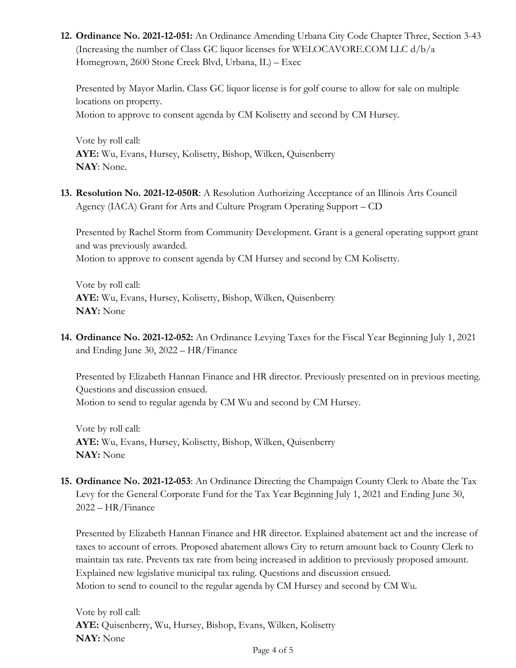**12. Ordinance No. 2021-12-051:** An Ordinance Amending Urbana City Code Chapter Three, Section 3-43 (Increasing the number of Class GC liquor licenses for WELOCAVORE.COM LLC  $d/b/a$ Homegrown, 2600 Stone Creek Blvd, Urbana, IL) – Exec

Presented by Mayor Marlin. Class GC liquor license is for golf course to allow for sale on multiple locations on property. Motion to approve to consent agenda by CM Kolisetty and second by CM Hursey.

Vote by roll call: **AYE:** Wu, Evans, Hursey, Kolisetty, Bishop, Wilken, Quisenberry **NAY**: None.

**13. Resolution No. 2021-12-050R**: A Resolution Authorizing Acceptance of an Illinois Arts Council Agency (IACA) Grant for Arts and Culture Program Operating Support – CD

Presented by Rachel Storm from Community Development. Grant is a general operating support grant and was previously awarded.

Motion to approve to consent agenda by CM Hursey and second by CM Kolisetty.

Vote by roll call: **AYE:** Wu, Evans, Hursey, Kolisetty, Bishop, Wilken, Quisenberry **NAY:** None

**14. Ordinance No. 2021-12-052:** An Ordinance Levying Taxes for the Fiscal Year Beginning July 1, 2021 and Ending June 30, 2022 – HR/Finance

Presented by Elizabeth Hannan Finance and HR director. Previously presented on in previous meeting. Questions and discussion ensued. Motion to send to regular agenda by CM Wu and second by CM Hursey.

Vote by roll call: **AYE:** Wu, Evans, Hursey, Kolisetty, Bishop, Wilken, Quisenberry **NAY:** None

**15. Ordinance No. 2021-12-053**: An Ordinance Directing the Champaign County Clerk to Abate the Tax Levy for the General Corporate Fund for the Tax Year Beginning July 1, 2021 and Ending June 30, 2022 – HR/Finance

Presented by Elizabeth Hannan Finance and HR director. Explained abatement act and the increase of taxes to account of errors. Proposed abatement allows City to return amount back to County Clerk to maintain tax rate. Prevents tax rate from being increased in addition to previously proposed amount. Explained new legislative municipal tax ruling. Questions and discussion ensued. Motion to send to council to the regular agenda by CM Hursey and second by CM Wu.

Vote by roll call: **AYE:** Quisenberry, Wu, Hursey, Bishop, Evans, Wilken, Kolisetty **NAY:** None